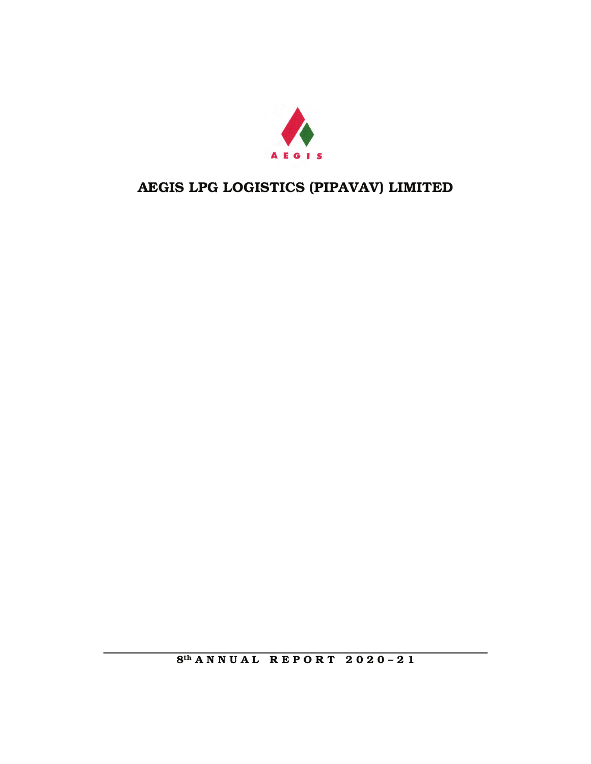

8th A N N U A L R E P O R T 2 0 2 0 – 2 1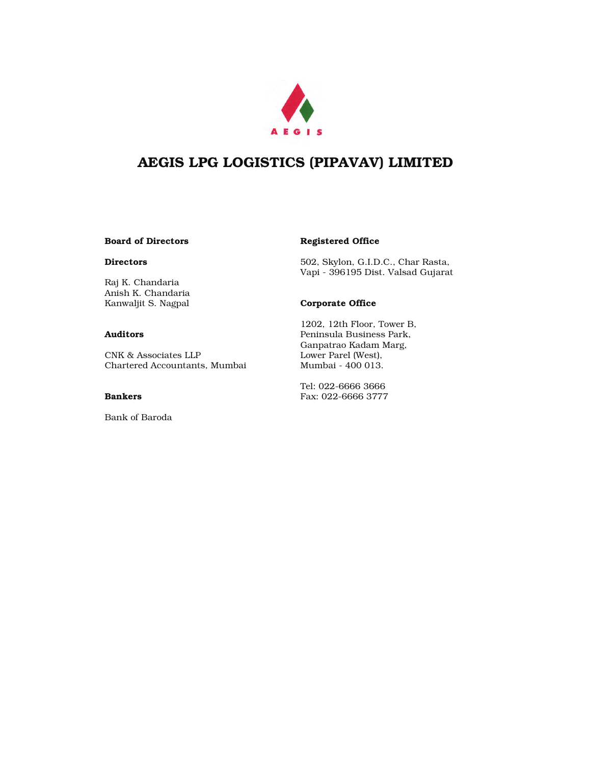

#### Board of Directors

#### **Directors**

Raj K. Chandaria Anish K. Chandaria Kanwaljit S. Nagpal

#### Auditors

CNK & Associates LLP Chartered Accountants, Mumbai

#### Bankers

Bank of Baroda

#### Registered Office

502, Skylon, G.I.D.C., Char Rasta, Vapi - 396195 Dist. Valsad Gujarat

#### Corporate Office

1202, 12th Floor, Tower B, Peninsula Business Park, Ganpatrao Kadam Marg, Lower Parel (West), Mumbai - 400 013.

Tel: 022-6666 3666 Fax: 022-6666 3777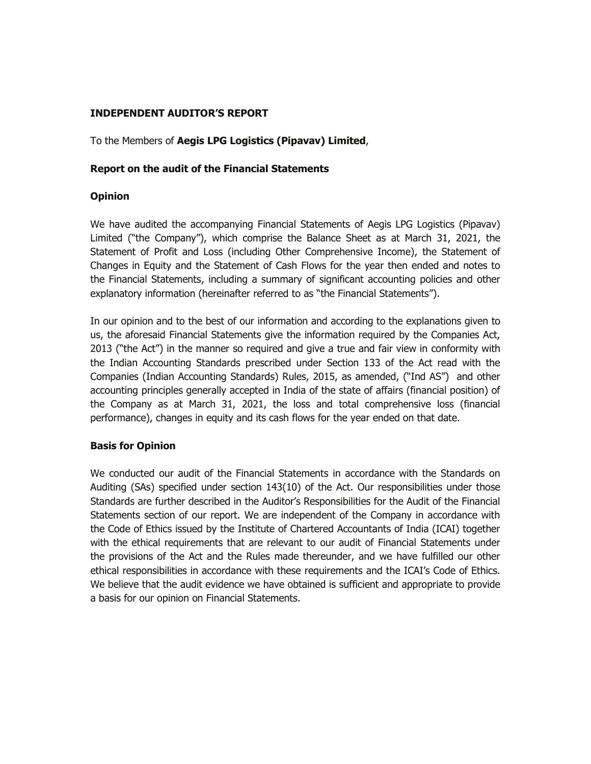## INDEPENDENT AUDITOR'S REPORT

To the Members of Aegis LPG Logistics (Pipavav) Limited,

## Report on the audit of the Financial Statements

## **Opinion**

We have audited the accompanying Financial Statements of Aegis LPG Logistics (Pipavav) Limited ("the Company"), which comprise the Balance Sheet as at March 31, 2021, the Statement of Profit and Loss (including Other Comprehensive Income), the Statement of Changes in Equity and the Statement of Cash Flows for the year then ended and notes to the Financial Statements, including a summary of significant accounting policies and other explanatory information (hereinafter referred to as "the Financial Statements").

In our opinion and to the best of our information and according to the explanations given to us, the aforesaid Financial Statements give the information required by the Companies Act, 2013 ("the Act") in the manner so required and give a true and fair view in conformity with the Indian Accounting Standards prescribed under Section 133 of the Act read with the Companies (Indian Accounting Standards) Rules, 2015, as amended, ("Ind AS") and other accounting principles generally accepted in India of the state of affairs (financial position) of the Company as at March 31, 2021, the loss and total comprehensive loss (financial performance), changes in equity and its cash flows for the year ended on that date.

## Basis for Opinion

We conducted our audit of the Financial Statements in accordance with the Standards on Auditing (SAs) specified under section 143(10) of the Act. Our responsibilities under those Standards are further described in the Auditor's Responsibilities for the Audit of the Financial Statements section of our report. We are independent of the Company in accordance with the Code of Ethics issued by the Institute of Chartered Accountants of India (ICAI) together with the ethical requirements that are relevant to our audit of Financial Statements under the provisions of the Act and the Rules made thereunder, and we have fulfilled our other ethical responsibilities in accordance with these requirements and the ICAI's Code of Ethics. We believe that the audit evidence we have obtained is sufficient and appropriate to provide a basis for our opinion on Financial Statements.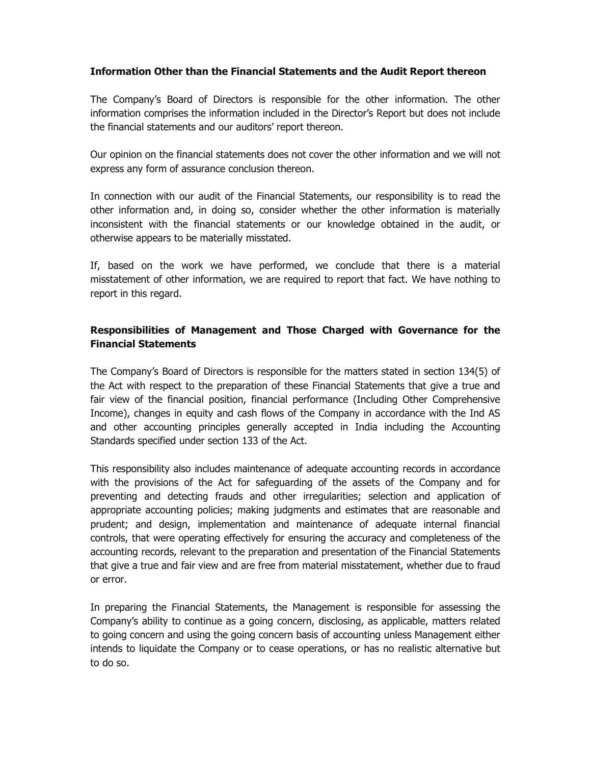## Information Other than the Financial Statements and the Audit Report thereon

The Company's Board of Directors is responsible for the other information. The other information comprises the information included in the Director's Report but does not include the financial statements and our auditors' report thereon.

Our opinion on the financial statements does not cover the other information and we will not express any form of assurance conclusion thereon.

In connection with our audit of the Financial Statements, our responsibility is to read the other information and, in doing so, consider whether the other information is materially inconsistent with the financial statements or our knowledge obtained in the audit, or otherwise appears to be materially misstated.

If, based on the work we have performed, we conclude that there is a material misstatement of other information, we are required to report that fact. We have nothing to report in this regard.

## Responsibilities of Management and Those Charged with Governance for the Financial Statements

The Company's Board of Directors is responsible for the matters stated in section 134(5) of the Act with respect to the preparation of these Financial Statements that give a true and fair view of the financial position, financial performance (Including Other Comprehensive Income), changes in equity and cash flows of the Company in accordance with the Ind AS and other accounting principles generally accepted in India including the Accounting Standards specified under section 133 of the Act.

This responsibility also includes maintenance of adequate accounting records in accordance with the provisions of the Act for safeguarding of the assets of the Company and for preventing and detecting frauds and other irregularities; selection and application of appropriate accounting policies; making judgments and estimates that are reasonable and prudent; and design, implementation and maintenance of adequate internal financial controls, that were operating effectively for ensuring the accuracy and completeness of the accounting records, relevant to the preparation and presentation of the Financial Statements that give a true and fair view and are free from material misstatement, whether due to fraud or error.

In preparing the Financial Statements, the Management is responsible for assessing the Company's ability to continue as a going concern, disclosing, as applicable, matters related to going concern and using the going concern basis of accounting unless Management either intends to liquidate the Company or to cease operations, or has no realistic alternative but to do so.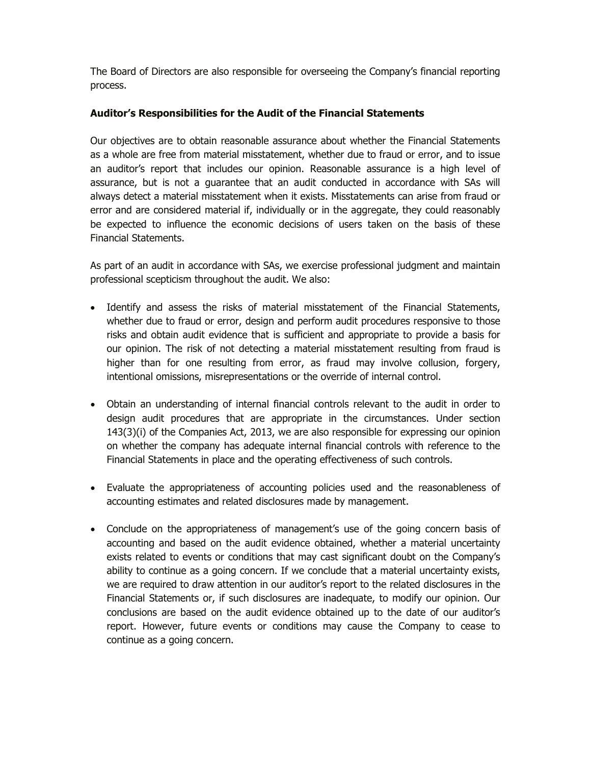The Board of Directors are also responsible for overseeing the Company's financial reporting process.

## Auditor's Responsibilities for the Audit of the Financial Statements

Our objectives are to obtain reasonable assurance about whether the Financial Statements as a whole are free from material misstatement, whether due to fraud or error, and to issue an auditor's report that includes our opinion. Reasonable assurance is a high level of assurance, but is not a guarantee that an audit conducted in accordance with SAs will always detect a material misstatement when it exists. Misstatements can arise from fraud or error and are considered material if, individually or in the aggregate, they could reasonably be expected to influence the economic decisions of users taken on the basis of these Financial Statements.

As part of an audit in accordance with SAs, we exercise professional judgment and maintain professional scepticism throughout the audit. We also:

- · Identify and assess the risks of material misstatement of the Financial Statements, whether due to fraud or error, design and perform audit procedures responsive to those risks and obtain audit evidence that is sufficient and appropriate to provide a basis for our opinion. The risk of not detecting a material misstatement resulting from fraud is higher than for one resulting from error, as fraud may involve collusion, forgery, intentional omissions, misrepresentations or the override of internal control.
- · Obtain an understanding of internal financial controls relevant to the audit in order to design audit procedures that are appropriate in the circumstances. Under section 143(3)(i) of the Companies Act, 2013, we are also responsible for expressing our opinion on whether the company has adequate internal financial controls with reference to the Financial Statements in place and the operating effectiveness of such controls.
- · Evaluate the appropriateness of accounting policies used and the reasonableness of accounting estimates and related disclosures made by management.
- · Conclude on the appropriateness of management's use of the going concern basis of accounting and based on the audit evidence obtained, whether a material uncertainty exists related to events or conditions that may cast significant doubt on the Company's ability to continue as a going concern. If we conclude that a material uncertainty exists, we are required to draw attention in our auditor's report to the related disclosures in the Financial Statements or, if such disclosures are inadequate, to modify our opinion. Our conclusions are based on the audit evidence obtained up to the date of our auditor's report. However, future events or conditions may cause the Company to cease to continue as a going concern.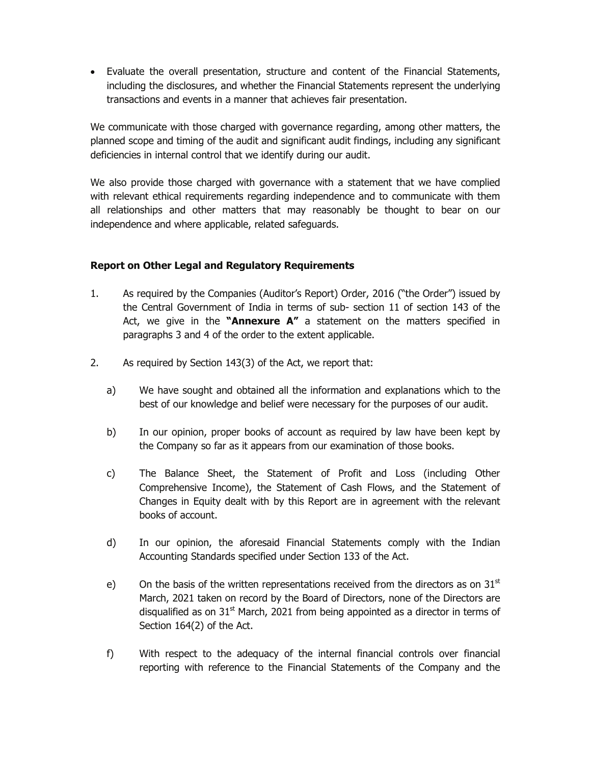· Evaluate the overall presentation, structure and content of the Financial Statements, including the disclosures, and whether the Financial Statements represent the underlying transactions and events in a manner that achieves fair presentation.

We communicate with those charged with governance regarding, among other matters, the planned scope and timing of the audit and significant audit findings, including any significant deficiencies in internal control that we identify during our audit.

We also provide those charged with governance with a statement that we have complied with relevant ethical requirements regarding independence and to communicate with them all relationships and other matters that may reasonably be thought to bear on our independence and where applicable, related safeguards.

## Report on Other Legal and Regulatory Requirements

- 1. As required by the Companies (Auditor's Report) Order, 2016 ("the Order") issued by the Central Government of India in terms of sub- section 11 of section 143 of the Act, we give in the "Annexure  $A''$  a statement on the matters specified in paragraphs 3 and 4 of the order to the extent applicable.
- 2. As required by Section 143(3) of the Act, we report that:
	- a) We have sought and obtained all the information and explanations which to the best of our knowledge and belief were necessary for the purposes of our audit.
	- b) In our opinion, proper books of account as required by law have been kept by the Company so far as it appears from our examination of those books.
	- c) The Balance Sheet, the Statement of Profit and Loss (including Other Comprehensive Income), the Statement of Cash Flows, and the Statement of Changes in Equity dealt with by this Report are in agreement with the relevant books of account.
	- d) In our opinion, the aforesaid Financial Statements comply with the Indian Accounting Standards specified under Section 133 of the Act.
	- e) On the basis of the written representations received from the directors as on  $31<sup>st</sup>$ March, 2021 taken on record by the Board of Directors, none of the Directors are disqualified as on  $31<sup>st</sup>$  March, 2021 from being appointed as a director in terms of Section 164(2) of the Act.
	- f) With respect to the adequacy of the internal financial controls over financial reporting with reference to the Financial Statements of the Company and the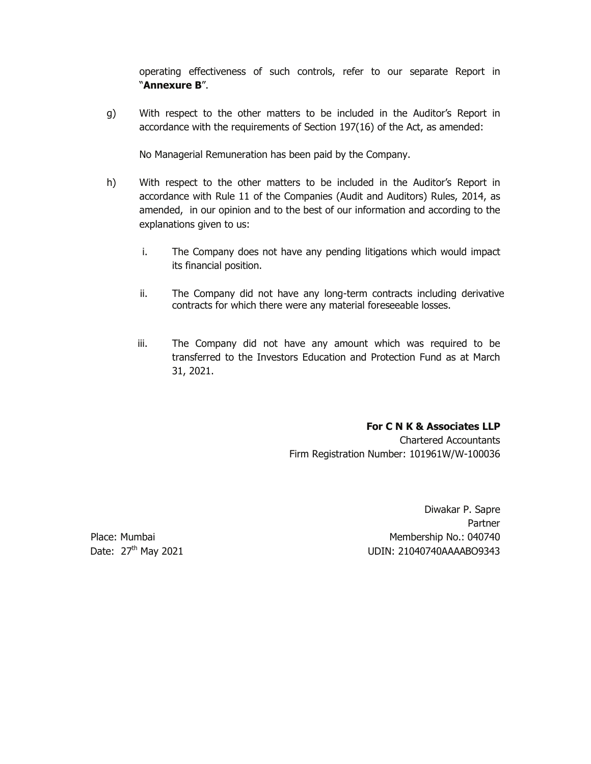operating effectiveness of such controls, refer to our separate Report in "Annexure B".

g) With respect to the other matters to be included in the Auditor's Report in accordance with the requirements of Section 197(16) of the Act, as amended:

No Managerial Remuneration has been paid by the Company.

- h) With respect to the other matters to be included in the Auditor's Report in accordance with Rule 11 of the Companies (Audit and Auditors) Rules, 2014, as amended, in our opinion and to the best of our information and according to the explanations given to us:
	- i. The Company does not have any pending litigations which would impact its financial position.
	- ii. The Company did not have any long-term contracts including derivative contracts for which there were any material foreseeable losses.
	- iii. The Company did not have any amount which was required to be transferred to the Investors Education and Protection Fund as at March 31, 2021.

For C N K & Associates LLP Chartered Accountants Firm Registration Number: 101961W/W-100036

Diwakar P. Sapre Partner Place: Mumbai Membership No.: 040740 Date: 27<sup>th</sup> May 2021 **UDIN: 21040740AAAABO9343**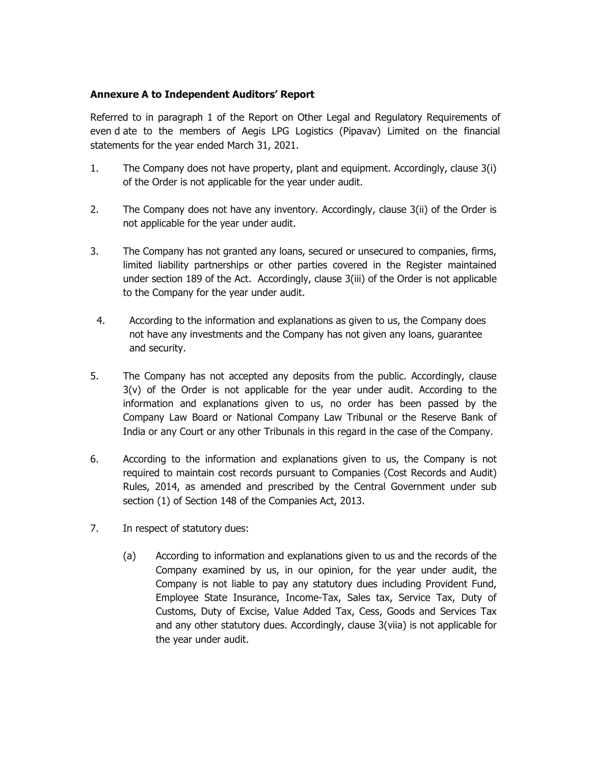## Annexure A to Independent Auditors' Report

Referred to in paragraph 1 of the Report on Other Legal and Regulatory Requirements of even d ate to the members of Aegis LPG Logistics (Pipavav) Limited on the financial statements for the year ended March 31, 2021.

- 1. The Company does not have property, plant and equipment. Accordingly, clause 3(i) of the Order is not applicable for the year under audit.
- 2. The Company does not have any inventory. Accordingly, clause 3(ii) of the Order is not applicable for the year under audit.
- 3. The Company has not granted any loans, secured or unsecured to companies, firms, limited liability partnerships or other parties covered in the Register maintained under section 189 of the Act. Accordingly, clause 3(iii) of the Order is not applicable to the Company for the year under audit.
- 4. According to the information and explanations as given to us, the Company does not have any investments and the Company has not given any loans, guarantee and security.
- 5. The Company has not accepted any deposits from the public. Accordingly, clause 3(v) of the Order is not applicable for the year under audit. According to the information and explanations given to us, no order has been passed by the Company Law Board or National Company Law Tribunal or the Reserve Bank of India or any Court or any other Tribunals in this regard in the case of the Company.
- 6. According to the information and explanations given to us, the Company is not required to maintain cost records pursuant to Companies (Cost Records and Audit) Rules, 2014, as amended and prescribed by the Central Government under sub section (1) of Section 148 of the Companies Act, 2013.
- 7. In respect of statutory dues:
	- (a) According to information and explanations given to us and the records of the Company examined by us, in our opinion, for the year under audit, the Company is not liable to pay any statutory dues including Provident Fund, Employee State Insurance, Income-Tax, Sales tax, Service Tax, Duty of Customs, Duty of Excise, Value Added Tax, Cess, Goods and Services Tax and any other statutory dues. Accordingly, clause 3(viia) is not applicable for the year under audit.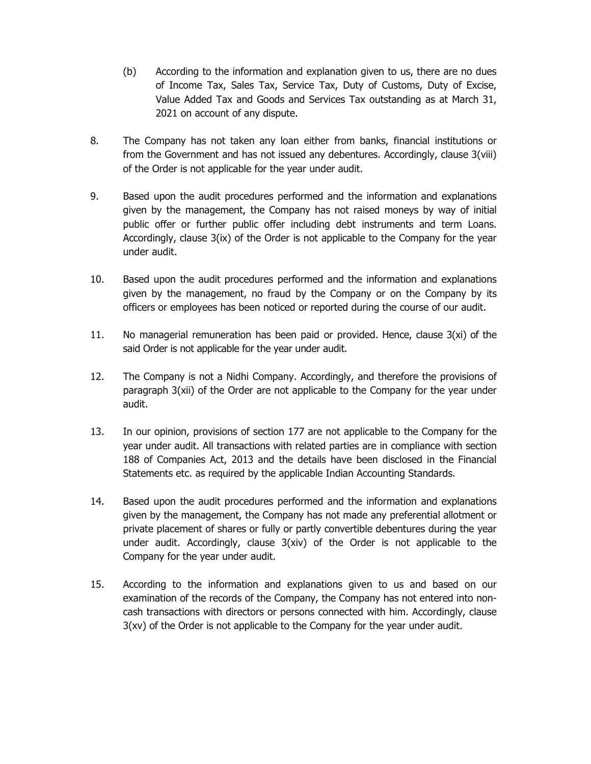- (b) According to the information and explanation given to us, there are no dues of Income Tax, Sales Tax, Service Tax, Duty of Customs, Duty of Excise, Value Added Tax and Goods and Services Tax outstanding as at March 31, 2021 on account of any dispute.
- 8. The Company has not taken any loan either from banks, financial institutions or from the Government and has not issued any debentures. Accordingly, clause 3(viii) of the Order is not applicable for the year under audit.
- 9. Based upon the audit procedures performed and the information and explanations given by the management, the Company has not raised moneys by way of initial public offer or further public offer including debt instruments and term Loans. Accordingly, clause 3(ix) of the Order is not applicable to the Company for the year under audit.
- 10. Based upon the audit procedures performed and the information and explanations given by the management, no fraud by the Company or on the Company by its officers or employees has been noticed or reported during the course of our audit.
- 11. No managerial remuneration has been paid or provided. Hence, clause  $3(xi)$  of the said Order is not applicable for the year under audit.
- 12. The Company is not a Nidhi Company. Accordingly, and therefore the provisions of paragraph 3(xii) of the Order are not applicable to the Company for the year under audit.
- 13. In our opinion, provisions of section 177 are not applicable to the Company for the year under audit. All transactions with related parties are in compliance with section 188 of Companies Act, 2013 and the details have been disclosed in the Financial Statements etc. as required by the applicable Indian Accounting Standards.
- 14. Based upon the audit procedures performed and the information and explanations given by the management, the Company has not made any preferential allotment or private placement of shares or fully or partly convertible debentures during the year under audit. Accordingly, clause 3(xiv) of the Order is not applicable to the Company for the year under audit.
- 15. According to the information and explanations given to us and based on our examination of the records of the Company, the Company has not entered into noncash transactions with directors or persons connected with him. Accordingly, clause 3(xv) of the Order is not applicable to the Company for the year under audit.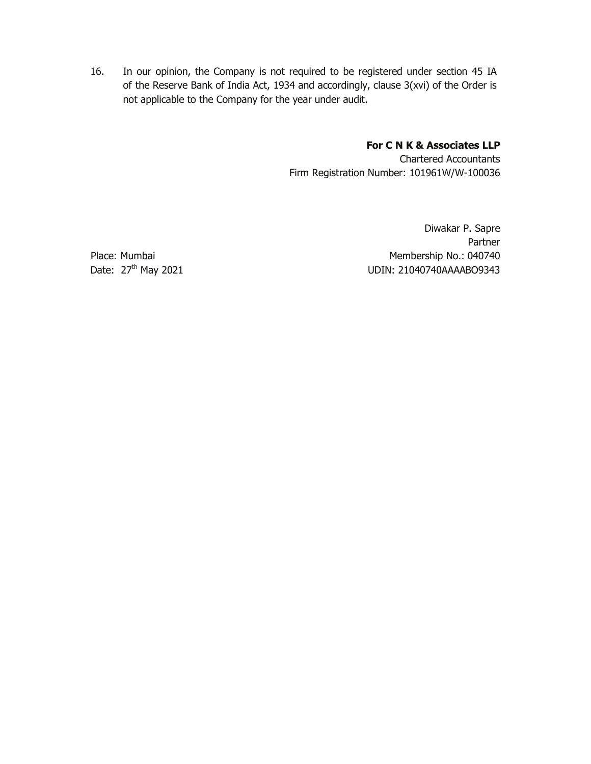16. In our opinion, the Company is not required to be registered under section 45 IA of the Reserve Bank of India Act, 1934 and accordingly, clause 3(xvi) of the Order is not applicable to the Company for the year under audit.

## For C N K & Associates LLP

Chartered Accountants Firm Registration Number: 101961W/W-100036

Diwakar P. Sapre Partner Place: Mumbai Membership No.: 040740 Date: 27<sup>th</sup> May 2021 **UDIN: 21040740AAAABO9343**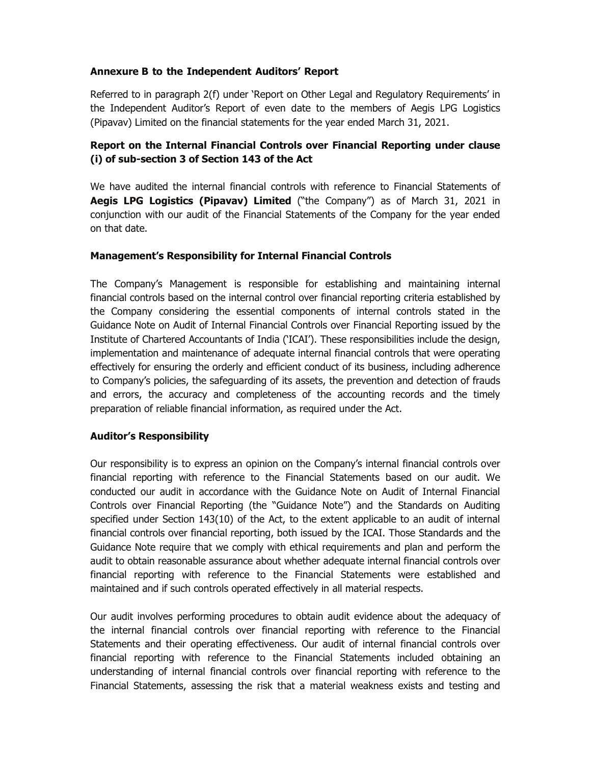## Annexure B to the Independent Auditors' Report

Referred to in paragraph 2(f) under 'Report on Other Legal and Regulatory Requirements' in the Independent Auditor's Report of even date to the members of Aegis LPG Logistics (Pipavav) Limited on the financial statements for the year ended March 31, 2021.

## Report on the Internal Financial Controls over Financial Reporting under clause (i) of sub-section 3 of Section 143 of the Act

We have audited the internal financial controls with reference to Financial Statements of Aegis LPG Logistics (Pipavav) Limited ("the Company") as of March 31, 2021 in conjunction with our audit of the Financial Statements of the Company for the year ended on that date.

## Management's Responsibility for Internal Financial Controls

The Company's Management is responsible for establishing and maintaining internal financial controls based on the internal control over financial reporting criteria established by the Company considering the essential components of internal controls stated in the Guidance Note on Audit of Internal Financial Controls over Financial Reporting issued by the Institute of Chartered Accountants of India ('ICAI'). These responsibilities include the design, implementation and maintenance of adequate internal financial controls that were operating effectively for ensuring the orderly and efficient conduct of its business, including adherence to Company's policies, the safeguarding of its assets, the prevention and detection of frauds and errors, the accuracy and completeness of the accounting records and the timely preparation of reliable financial information, as required under the Act.

## Auditor's Responsibility

Our responsibility is to express an opinion on the Company's internal financial controls over financial reporting with reference to the Financial Statements based on our audit. We conducted our audit in accordance with the Guidance Note on Audit of Internal Financial Controls over Financial Reporting (the "Guidance Note") and the Standards on Auditing specified under Section 143(10) of the Act, to the extent applicable to an audit of internal financial controls over financial reporting, both issued by the ICAI. Those Standards and the Guidance Note require that we comply with ethical requirements and plan and perform the audit to obtain reasonable assurance about whether adequate internal financial controls over financial reporting with reference to the Financial Statements were established and maintained and if such controls operated effectively in all material respects.

Our audit involves performing procedures to obtain audit evidence about the adequacy of the internal financial controls over financial reporting with reference to the Financial Statements and their operating effectiveness. Our audit of internal financial controls over financial reporting with reference to the Financial Statements included obtaining an understanding of internal financial controls over financial reporting with reference to the Financial Statements, assessing the risk that a material weakness exists and testing and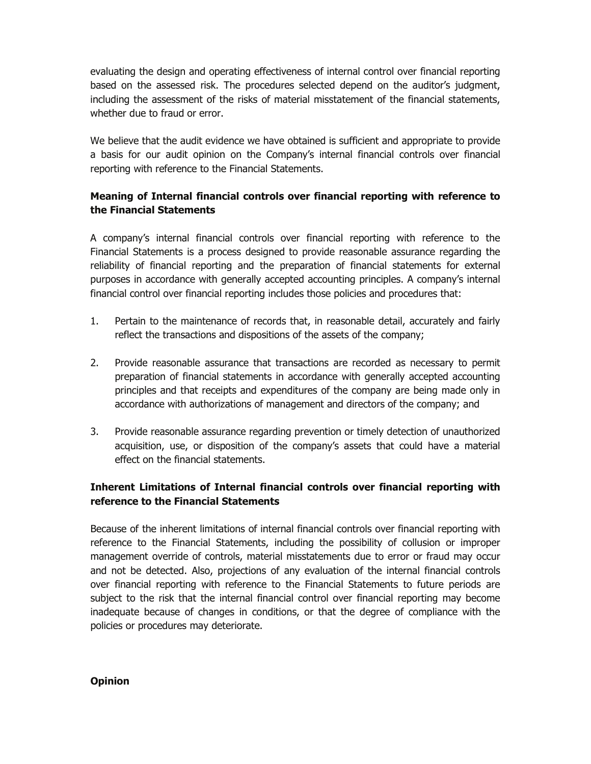evaluating the design and operating effectiveness of internal control over financial reporting based on the assessed risk. The procedures selected depend on the auditor's judgment, including the assessment of the risks of material misstatement of the financial statements, whether due to fraud or error.

We believe that the audit evidence we have obtained is sufficient and appropriate to provide a basis for our audit opinion on the Company's internal financial controls over financial reporting with reference to the Financial Statements.

## Meaning of Internal financial controls over financial reporting with reference to the Financial Statements

A company's internal financial controls over financial reporting with reference to the Financial Statements is a process designed to provide reasonable assurance regarding the reliability of financial reporting and the preparation of financial statements for external purposes in accordance with generally accepted accounting principles. A company's internal financial control over financial reporting includes those policies and procedures that:

- 1. Pertain to the maintenance of records that, in reasonable detail, accurately and fairly reflect the transactions and dispositions of the assets of the company;
- 2. Provide reasonable assurance that transactions are recorded as necessary to permit preparation of financial statements in accordance with generally accepted accounting principles and that receipts and expenditures of the company are being made only in accordance with authorizations of management and directors of the company; and
- 3. Provide reasonable assurance regarding prevention or timely detection of unauthorized acquisition, use, or disposition of the company's assets that could have a material effect on the financial statements.

## Inherent Limitations of Internal financial controls over financial reporting with reference to the Financial Statements

Because of the inherent limitations of internal financial controls over financial reporting with reference to the Financial Statements, including the possibility of collusion or improper management override of controls, material misstatements due to error or fraud may occur and not be detected. Also, projections of any evaluation of the internal financial controls over financial reporting with reference to the Financial Statements to future periods are subject to the risk that the internal financial control over financial reporting may become inadequate because of changes in conditions, or that the degree of compliance with the policies or procedures may deteriorate.

## **Opinion**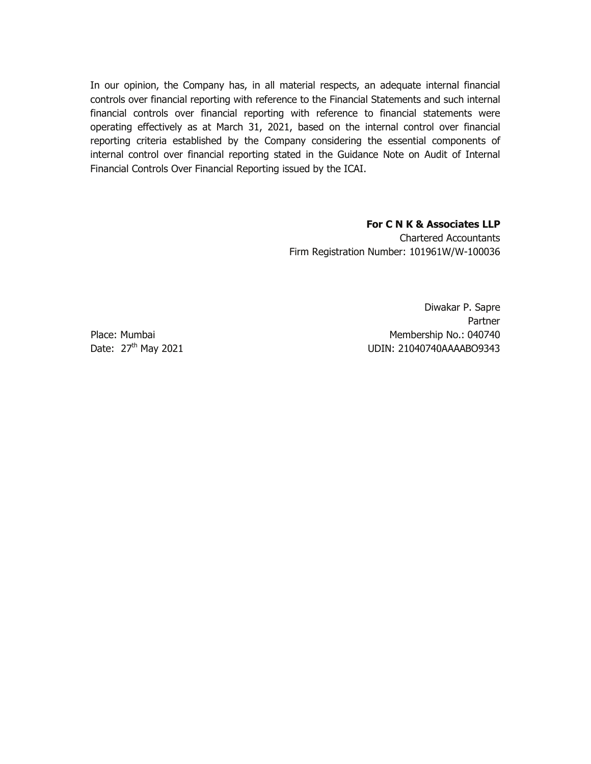In our opinion, the Company has, in all material respects, an adequate internal financial controls over financial reporting with reference to the Financial Statements and such internal financial controls over financial reporting with reference to financial statements were operating effectively as at March 31, 2021, based on the internal control over financial reporting criteria established by the Company considering the essential components of internal control over financial reporting stated in the Guidance Note on Audit of Internal Financial Controls Over Financial Reporting issued by the ICAI.

#### For C N K & Associates LLP

Chartered Accountants Firm Registration Number: 101961W/W-100036

Diwakar P. Sapre Partner Place: Mumbai Membership No.: 040740 Date:  $27<sup>th</sup>$  May 2021 2001 21040740AAAABO9343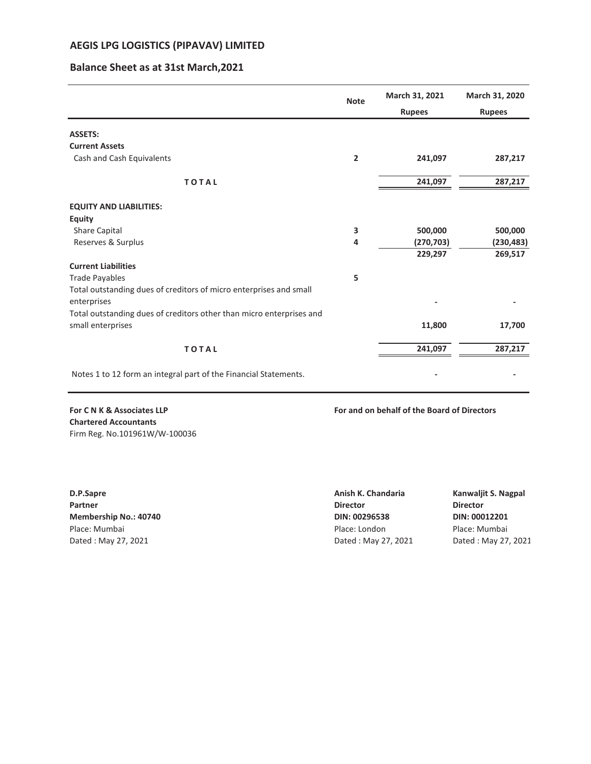#### **Balance Sheet as at 31st March,2021**

|                                                                                   | <b>Note</b>    | March 31, 2021<br><b>Rupees</b> | March 31, 2020<br><b>Rupees</b> |
|-----------------------------------------------------------------------------------|----------------|---------------------------------|---------------------------------|
| <b>ASSETS:</b>                                                                    |                |                                 |                                 |
| <b>Current Assets</b>                                                             |                |                                 |                                 |
| Cash and Cash Equivalents                                                         | $\overline{2}$ | 241,097                         | 287,217                         |
| <b>TOTAL</b>                                                                      |                | 241,097                         | 287,217                         |
| <b>EQUITY AND LIABILITIES:</b>                                                    |                |                                 |                                 |
| <b>Equity</b>                                                                     |                |                                 |                                 |
| Share Capital                                                                     | 3              | 500,000                         | 500,000                         |
| Reserves & Surplus                                                                | 4              | (270, 703)                      | (230, 483)                      |
|                                                                                   |                | 229,297                         | 269,517                         |
| <b>Current Liabilities</b>                                                        |                |                                 |                                 |
| <b>Trade Payables</b>                                                             | 5              |                                 |                                 |
| Total outstanding dues of creditors of micro enterprises and small<br>enterprises |                |                                 |                                 |
| Total outstanding dues of creditors other than micro enterprises and              |                |                                 |                                 |
| small enterprises                                                                 |                | 11,800                          | 17,700                          |
| <b>TOTAL</b>                                                                      |                | 241,097                         | 287,217                         |
| Notes 1 to 12 form an integral part of the Financial Statements.                  |                |                                 |                                 |

**For C N K & Associates LLP For and on behalf of the Board of Directors Chartered Accountants** Firm Reg. No.101961W/W-100036

D.P.Sapre **Anish K. Chandaria** Kanwaljit S. Nagpal **Partner Director Director Membership No.: 40740 DIN: 00296538 DIN: 00012201** Place: Mumbai Place: London Place: Mumbai Dated : May 27, 2021 Dated : May 27, 2021 Dated : May 27, 2021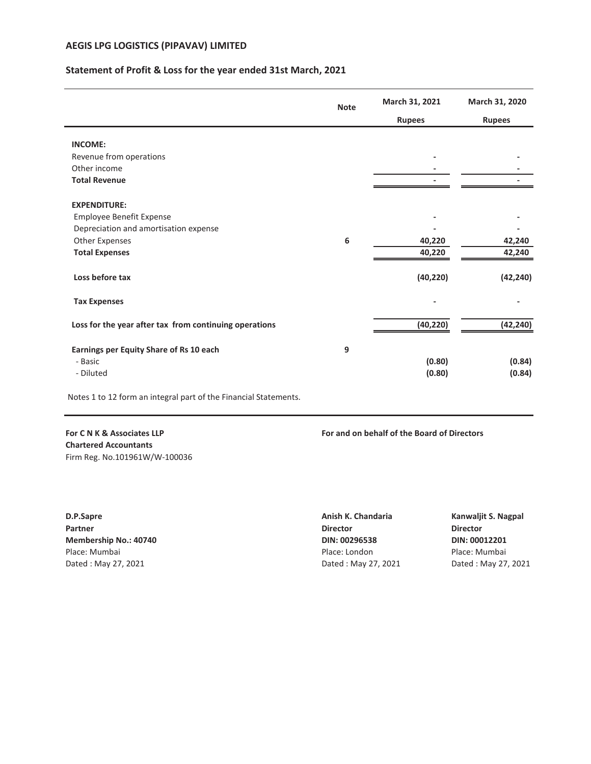#### **Statement of Profit & Loss for the year ended 31st March, 2021**

|                                                        | <b>Note</b> | March 31, 2021<br><b>Rupees</b> | March 31, 2020<br><b>Rupees</b> |
|--------------------------------------------------------|-------------|---------------------------------|---------------------------------|
| <b>INCOME:</b>                                         |             |                                 |                                 |
| Revenue from operations                                |             |                                 |                                 |
| Other income                                           |             |                                 |                                 |
| <b>Total Revenue</b>                                   |             |                                 |                                 |
| <b>EXPENDITURE:</b>                                    |             |                                 |                                 |
| Employee Benefit Expense                               |             |                                 |                                 |
| Depreciation and amortisation expense                  |             |                                 |                                 |
| Other Expenses                                         | 6           | 40,220                          | 42,240                          |
| <b>Total Expenses</b>                                  |             | 40,220                          | 42,240                          |
| Loss before tax                                        |             | (40, 220)                       | (42, 240)                       |
| <b>Tax Expenses</b>                                    |             |                                 |                                 |
| Loss for the year after tax from continuing operations |             | (40, 220)                       | (42, 240)                       |
| Earnings per Equity Share of Rs 10 each                | 9           |                                 |                                 |
| - Basic                                                |             | (0.80)                          | (0.84)                          |
| - Diluted                                              |             | (0.80)                          | (0.84)                          |

Notes 1 to 12 form an integral part of the Financial Statements.

**Chartered Accountants** Firm Reg. No.101961W/W-100036

**For C N K & Associates LLP For and on behalf of the Board of Directors**

**D.P.Sapre Anish K. Chandaria K. Chandaria** Kanwaljit S. Nagpal **Partner Director Director Membership No.: 40740 DIN: 00296538 DIN: 00012201** Place: Mumbai Place: London Place: Mumbai Dated : May 27, 2021 Dated : May 27, 2021 Dated : May 27, 2021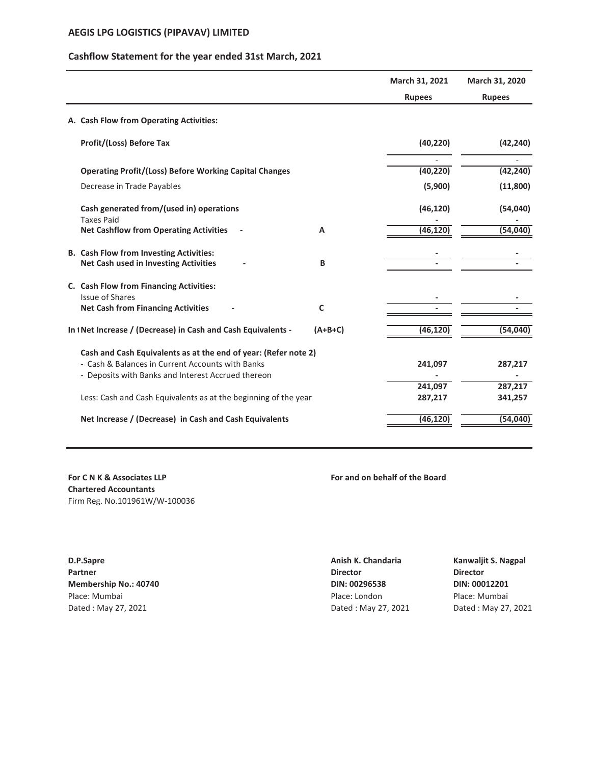#### **Cashflow Statement for the year ended 31st March, 2021**

|                                                                   |           | March 31, 2021 | March 31, 2020 |
|-------------------------------------------------------------------|-----------|----------------|----------------|
|                                                                   |           | <b>Rupees</b>  | <b>Rupees</b>  |
| A. Cash Flow from Operating Activities:                           |           |                |                |
| Profit/(Loss) Before Tax                                          |           | (40, 220)      | (42, 240)      |
|                                                                   |           |                |                |
| <b>Operating Profit/(Loss) Before Working Capital Changes</b>     |           | (40, 220)      | (42, 240)      |
| Decrease in Trade Payables                                        |           | (5,900)        | (11,800)       |
| Cash generated from/(used in) operations<br><b>Taxes Paid</b>     |           | (46, 120)      | (54,040)       |
| <b>Net Cashflow from Operating Activities</b>                     | A         | (46, 120)      | (54,040)       |
| <b>B. Cash Flow from Investing Activities:</b>                    |           |                |                |
| Net Cash used in Investing Activities                             | B         |                |                |
| C. Cash Flow from Financing Activities:<br><b>Issue of Shares</b> |           |                |                |
| <b>Net Cash from Financing Activities</b>                         | C         |                |                |
| In 1Net Increase / (Decrease) in Cash and Cash Equivalents -      | $(A+B+C)$ | (46, 120)      | (54,040)       |
| Cash and Cash Equivalents as at the end of year: (Refer note 2)   |           |                |                |
| - Cash & Balances in Current Accounts with Banks                  |           | 241,097        | 287,217        |
| - Deposits with Banks and Interest Accrued thereon                |           |                |                |
|                                                                   |           | 241,097        | 287,217        |
| Less: Cash and Cash Equivalents as at the beginning of the year   |           | 287,217        | 341,257        |
| Net Increase / (Decrease) in Cash and Cash Equivalents            |           | (46, 120)      | (54,040)       |

**Chartered Accountants** Firm Reg. No.101961W/W-100036

**For C N K & Associates LLP For and on behalf of the Board**

**Partner Director Director Membership No.: 40740 DIN: 00296538 DIN: 00012201** Place: Mumbai Place: London Place: Mumbai Dated : May 27, 2021 Dated : May 27, 2021 Dated : May 27, 2021

**D.P.Sapre Anish K. Chandaria** Kanwaljit S. Nagpal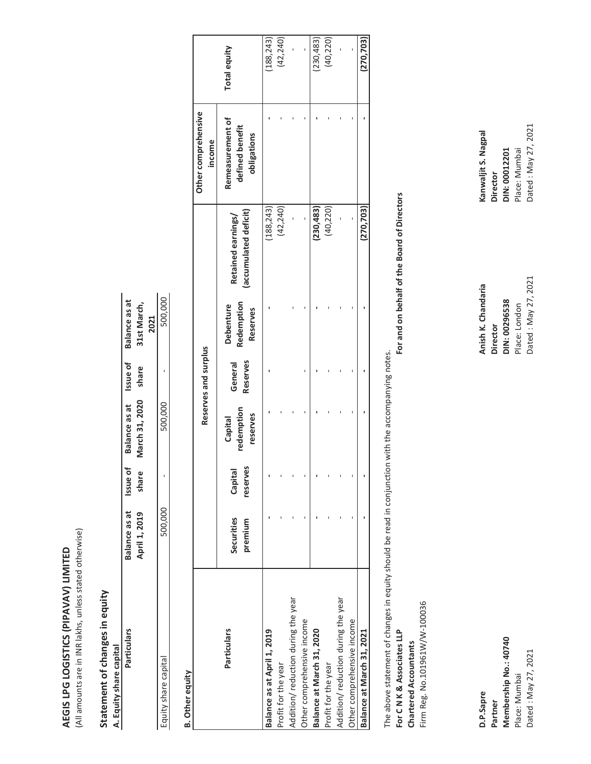AEGIS LPG LOGISTICS (PIPAVAV) LIMITED **AEGIS LPG LOGISTICS (PIPAVAV) LIMITED**

(All amounts are in INR lakhs, unless stated otherwise) (All amounts are in INR lakhs, unless stated otherwise)

# Statement of changes in equity **Statement of changes in equity**

A. Equity share capital **A. Equity share capital**

| articular |               |       | Balance as at Issue of Balance as at Issue of Balance as at |             |
|-----------|---------------|-------|-------------------------------------------------------------|-------------|
|           | April 1, 2019 | share | March 31, 2020 share                                        | 31st March, |
|           |               |       |                                                             | 2021        |
|           | 00,000        |       | 500,000                                                     | 000,000     |
|           |               |       |                                                             |             |

**R.** Other equity

|                                    |                       |                     |                                   | Reserves and surplus |                                            |                                             | Other comprehensive<br>income                      |              |
|------------------------------------|-----------------------|---------------------|-----------------------------------|----------------------|--------------------------------------------|---------------------------------------------|----------------------------------------------------|--------------|
| <b>Particulars</b>                 | Securities<br>premium | Capital<br>reserves | redemption<br>reserves<br>Capital | Reserves<br>General  | Redemption<br>Debenture<br><b>Reserves</b> | (accumulated deficit)<br>Retained earnings/ | Remeasurement of<br>defined benefit<br>obligations | Total equity |
| Balance as at April 1, 2019        |                       |                     |                                   |                      |                                            | (188, 243)                                  |                                                    | (188, 243)   |
| Profit for the year                |                       |                     |                                   |                      |                                            | (42, 240)                                   |                                                    | (42, 240)    |
| Addition/reduction during the year |                       |                     |                                   |                      |                                            |                                             |                                                    |              |
| Other comprehensive income         |                       |                     |                                   |                      |                                            |                                             |                                                    |              |
| Balance at March 31, 2020          |                       |                     |                                   |                      |                                            | (230, 483)                                  |                                                    | (230, 483)   |
| Profit for the year                |                       |                     |                                   |                      |                                            | (40, 220)                                   |                                                    | (40, 220)    |
| Addition/reduction during the year |                       |                     |                                   |                      |                                            |                                             |                                                    |              |
| Other comprehensive income         |                       |                     |                                   |                      |                                            |                                             |                                                    |              |
| Balance at March 31, 2021          |                       |                     |                                   |                      |                                            | (270, 703)                                  |                                                    | (270, 703)   |

For and on behalf of the Board of Directors The above statement of changes in equity should be read in conjunction with the accompanying notes. The above statement of changes in equity should be read in conjunction with the accompanying notes.

**For C N K & Associates LLP For and on behalf of the Board of Directors** For CNK & Associates LLP

Firm Reg. No.101961W/W-100036 Firm Reg. No.101961W/W-100036 **Chartered Accountants Chartered Accountants**

**D.P.Sapre Anish K. Chandaria Kanwaljit S. Nagpal Membership No.: 40740 DIN: 00296538 DIN: 00012201** Place: Mumbai Place: London Place: Mumbai **Partner Director Director** Membership No.: 40740 Dated: May 27, 2021 Place: Mumbai D.P.Sapre Partner

Dated: May 27, 2021 Anish K. Chandaria DIN: 00296538 Place: London Director

Place: Mumbai<br>Dated : May 27, 2021 Kanwaljit S. Nagpal DIN: 00012201 **Director** 

Dated : May 27, 2021 Dated : May 27, 2021 Dated : May 27, 2021 Dated : May 27, 2021 Dated : May 27, 2021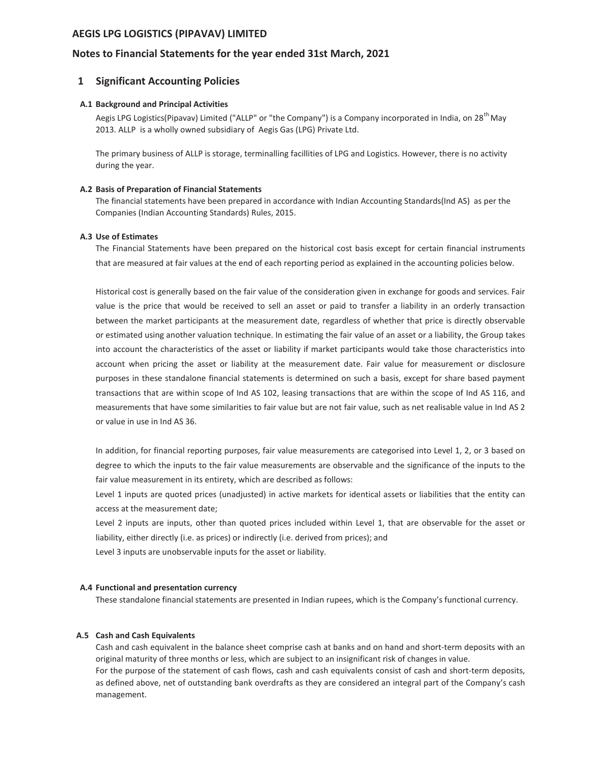#### **Notes to Financial Statements for the year ended 31st March, 2021**

#### **1 Significant Accounting Policies**

#### **A.1 Background and Principal Activities**

Aegis LPG Logistics(Pipavav) Limited ("ALLP" or "the Company") is a Company incorporated in India, on 28<sup>th</sup> May 2013. ALLP is a wholly owned subsidiary of Aegis Gas (LPG) Private Ltd.

The primary business of ALLP is storage, terminalling facillities of LPG and Logistics. However, there is no activity during the year.

#### **A.2 Basis of Preparation of Financial Statements**

The financial statements have been prepared in accordance with Indian Accounting Standards(Ind AS) as per the Companies (Indian Accounting Standards) Rules, 2015.

#### **A.3 Use of Estimates**

The Financial Statements have been prepared on the historical cost basis except for certain financial instruments that are measured at fair values at the end of each reporting period as explained in the accounting policies below.

Historical cost is generally based on the fair value of the consideration given in exchange for goods and services. Fair value is the price that would be received to sell an asset or paid to transfer a liability in an orderly transaction between the market participants at the measurement date, regardless of whether that price is directly observable or estimated using another valuation technique. In estimating the fair value of an asset or a liability, the Group takes into account the characteristics of the asset or liability if market participants would take those characteristics into account when pricing the asset or liability at the measurement date. Fair value for measurement or disclosure purposes in these standalone financial statements is determined on such a basis, except for share based payment transactions that are within scope of Ind AS 102, leasing transactions that are within the scope of Ind AS 116, and measurements that have some similarities to fair value but are not fair value, such as net realisable value in Ind AS 2 or value in use in Ind AS 36.

In addition, for financial reporting purposes, fair value measurements are categorised into Level 1, 2, or 3 based on degree to which the inputs to the fair value measurements are observable and the significance of the inputs to the fair value measurement in its entirety, which are described as follows:

Level 1 inputs are quoted prices (unadjusted) in active markets for identical assets or liabilities that the entity can access at the measurement date;

Level 2 inputs are inputs, other than quoted prices included within Level 1, that are observable for the asset or liability, either directly (i.e. as prices) or indirectly (i.e. derived from prices); and

Level 3 inputs are unobservable inputs for the asset or liability.

#### **A.4 Functional and presentation currency**

These standalone financial statements are presented in Indian rupees, which is the Company's functional currency.

#### **A.5 Cash and Cash Equivalents**

Cash and cash equivalent in the balance sheet comprise cash at banks and on hand and short-term deposits with an original maturity of three months or less, which are subject to an insignificant risk of changes in value. For the purpose of the statement of cash flows, cash and cash equivalents consist of cash and short-term deposits, as defined above, net of outstanding bank overdrafts as they are considered an integral part of the Company's cash management.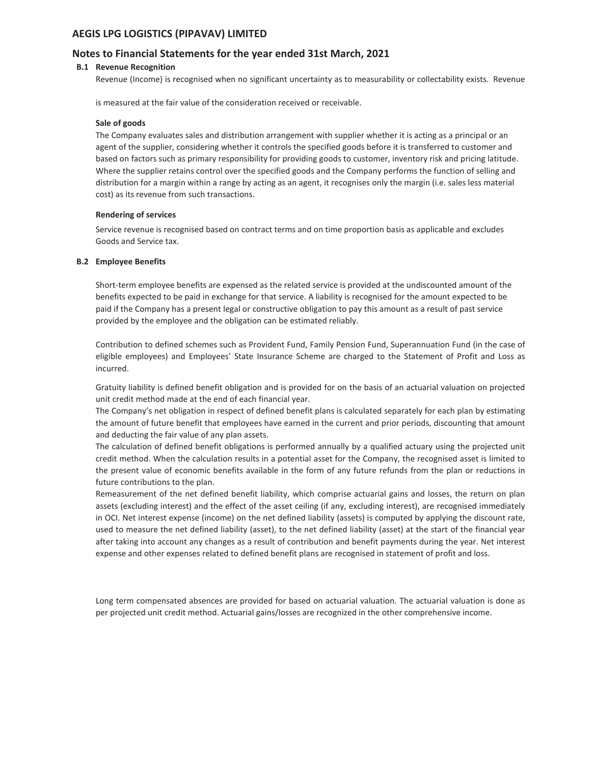#### **Notes to Financial Statements for the year ended 31st March, 2021**

#### **B.1 Revenue Recognition**

Revenue (Income) is recognised when no significant uncertainty as to measurability or collectability exists. Revenue

is measured at the fair value of the consideration received or receivable.

#### **Sale of goods**

The Company evaluates sales and distribution arrangement with supplier whether it is acting as a principal or an agent of the supplier, considering whether it controls the specified goods before it is transferred to customer and based on factors such as primary responsibility for providing goods to customer, inventory risk and pricing latitude. Where the supplier retains control over the specified goods and the Company performs the function of selling and distribution for a margin within a range by acting as an agent, it recognises only the margin (i.e. sales less material cost) as its revenue from such transactions.

#### **Rendering of services**

Service revenue is recognised based on contract terms and on time proportion basis as applicable and excludes Goods and Service tax.

#### **B.2 Employee Benefits**

Short-term employee benefits are expensed as the related service is provided at the undiscounted amount of the benefits expected to be paid in exchange for that service. A liability is recognised for the amount expected to be paid if the Company has a present legal or constructive obligation to pay this amount as a result of past service provided by the employee and the obligation can be estimated reliably.

Contribution to defined schemes such as Provident Fund, Family Pension Fund, Superannuation Fund (in the case of eligible employees) and Employees' State Insurance Scheme are charged to the Statement of Profit and Loss as incurred.

Gratuity liability is defined benefit obligation and is provided for on the basis of an actuarial valuation on projected unit credit method made at the end of each financial year.

The Company's net obligation in respect of defined benefit plans is calculated separately for each plan by estimating the amount of future benefit that employees have earned in the current and prior periods, discounting that amount and deducting the fair value of any plan assets.

The calculation of defined benefit obligations is performed annually by a qualified actuary using the projected unit credit method. When the calculation results in a potential asset for the Company, the recognised asset is limited to the present value of economic benefits available in the form of any future refunds from the plan or reductions in future contributions to the plan.

Remeasurement of the net defined benefit liability, which comprise actuarial gains and losses, the return on plan assets (excluding interest) and the effect of the asset ceiling (if any, excluding interest), are recognised immediately in OCI. Net interest expense (income) on the net defined liability (assets) is computed by applying the discount rate, used to measure the net defined liability (asset), to the net defined liability (asset) at the start of the financial year after taking into account any changes as a result of contribution and benefit payments during the year. Net interest expense and other expenses related to defined benefit plans are recognised in statement of profit and loss.

Long term compensated absences are provided for based on actuarial valuation. The actuarial valuation is done as per projected unit credit method. Actuarial gains/losses are recognized in the other comprehensive income.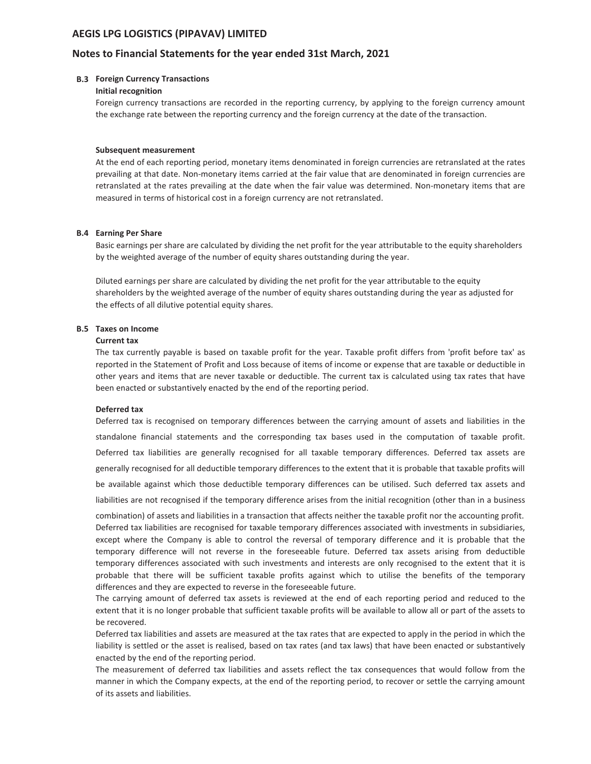#### **Notes to Financial Statements for the year ended 31st March, 2021**

#### **B.3 Foreign Currency Transactions**

#### **Initial recognition**

Foreign currency transactions are recorded in the reporting currency, by applying to the foreign currency amount the exchange rate between the reporting currency and the foreign currency at the date of the transaction.

#### **Subsequent measurement**

At the end of each reporting period, monetary items denominated in foreign currencies are retranslated at the rates prevailing at that date. Non-monetary items carried at the fair value that are denominated in foreign currencies are retranslated at the rates prevailing at the date when the fair value was determined. Non-monetary items that are measured in terms of historical cost in a foreign currency are not retranslated.

#### **B.4 Earning Per Share**

Basic earnings per share are calculated by dividing the net profit for the year attributable to the equity shareholders by the weighted average of the number of equity shares outstanding during the year.

Diluted earnings per share are calculated by dividing the net profit for the year attributable to the equity shareholders by the weighted average of the number of equity shares outstanding during the year as adjusted for the effects of all dilutive potential equity shares.

#### **B.5 Taxes on Income**

#### **Current tax**

The tax currently payable is based on taxable profit for the year. Taxable profit differs from 'profit before tax' as reported in the Statement of Profit and Loss because of items of income or expense that are taxable or deductible in other years and items that are never taxable or deductible. The current tax is calculated using tax rates that have been enacted or substantively enacted by the end of the reporting period.

#### **Deferred tax**

Deferred tax is recognised on temporary differences between the carrying amount of assets and liabilities in the standalone financial statements and the corresponding tax bases used in the computation of taxable profit. Deferred tax liabilities are generally recognised for all taxable temporary differences. Deferred tax assets are generally recognised for all deductible temporary differences to the extent that it is probable that taxable profits will be available against which those deductible temporary differences can be utilised. Such deferred tax assets and liabilities are not recognised if the temporary difference arises from the initial recognition (other than in a business

combination) of assets and liabilities in a transaction that affects neither the taxable profit nor the accounting profit. Deferred tax liabilities are recognised for taxable temporary differences associated with investments in subsidiaries, except where the Company is able to control the reversal of temporary difference and it is probable that the temporary difference will not reverse in the foreseeable future. Deferred tax assets arising from deductible temporary differences associated with such investments and interests are only recognised to the extent that it is probable that there will be sufficient taxable profits against which to utilise the benefits of the temporary differences and they are expected to reverse in the foreseeable future.

The carrying amount of deferred tax assets is reviewed at the end of each reporting period and reduced to the extent that it is no longer probable that sufficient taxable profits will be available to allow all or part of the assets to be recovered.

Deferred tax liabilities and assets are measured at the tax rates that are expected to apply in the period in which the liability is settled or the asset is realised, based on tax rates (and tax laws) that have been enacted or substantively enacted by the end of the reporting period.

The measurement of deferred tax liabilities and assets reflect the tax consequences that would follow from the manner in which the Company expects, at the end of the reporting period, to recover or settle the carrying amount of its assets and liabilities.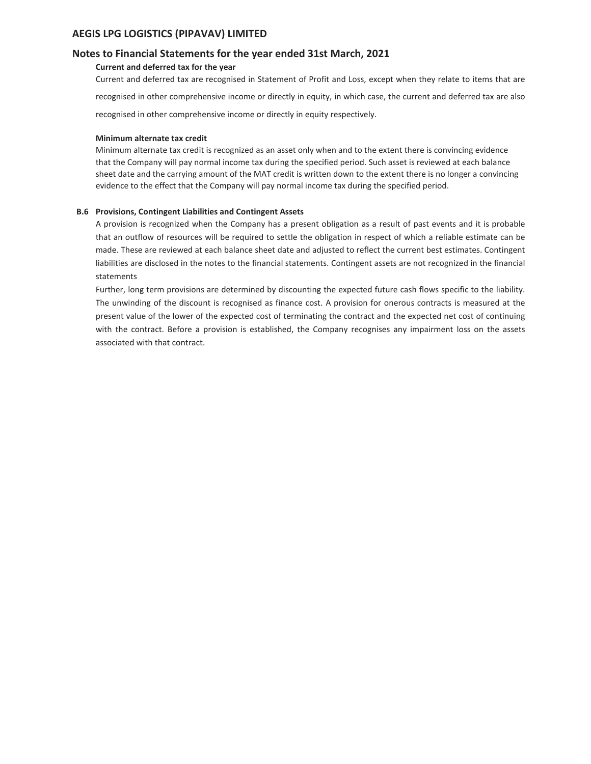#### **Notes to Financial Statements for the year ended 31st March, 2021**

#### **Current and deferred tax for the year**

Current and deferred tax are recognised in Statement of Profit and Loss, except when they relate to items that are

recognised in other comprehensive income or directly in equity, in which case, the current and deferred tax are also

recognised in other comprehensive income or directly in equity respectively.

#### **Minimum alternate tax credit**

Minimum alternate tax credit is recognized as an asset only when and to the extent there is convincing evidence that the Company will pay normal income tax during the specified period. Such asset is reviewed at each balance sheet date and the carrying amount of the MAT credit is written down to the extent there is no longer a convincing evidence to the effect that the Company will pay normal income tax during the specified period.

#### **B.6 Provisions, Contingent Liabilities and Contingent Assets**

A provision is recognized when the Company has a present obligation as a result of past events and it is probable that an outflow of resources will be required to settle the obligation in respect of which a reliable estimate can be made. These are reviewed at each balance sheet date and adjusted to reflect the current best estimates. Contingent liabilities are disclosed in the notes to the financial statements. Contingent assets are not recognized in the financial statements

Further, long term provisions are determined by discounting the expected future cash flows specific to the liability. The unwinding of the discount is recognised as finance cost. A provision for onerous contracts is measured at the present value of the lower of the expected cost of terminating the contract and the expected net cost of continuing with the contract. Before a provision is established, the Company recognises any impairment loss on the assets associated with that contract.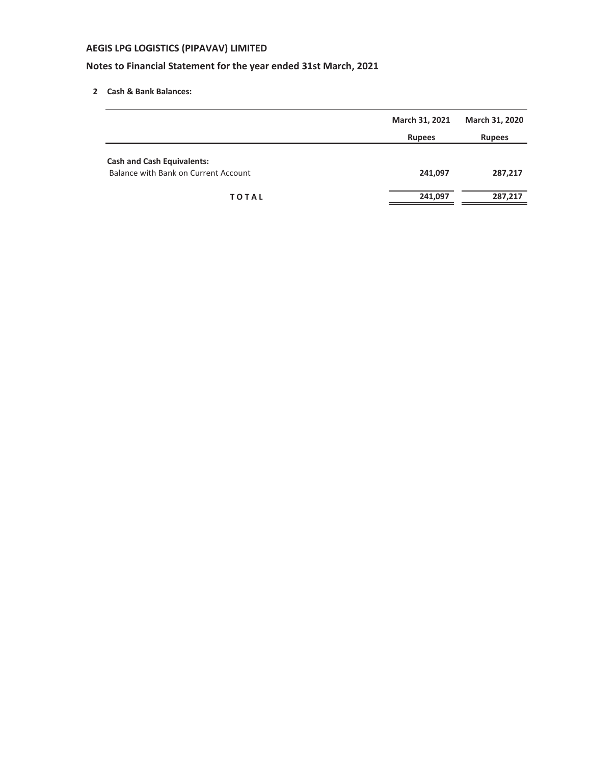## **Notes to Financial Statement for the year ended 31st March, 2021**

**2 Cash & Bank Balances:**

|                                                                           | March 31, 2021 | March 31, 2020 |
|---------------------------------------------------------------------------|----------------|----------------|
|                                                                           | <b>Rupees</b>  | <b>Rupees</b>  |
| <b>Cash and Cash Equivalents:</b><br>Balance with Bank on Current Account | 241,097        | 287,217        |
| TOTAL                                                                     | 241,097        | 287,217        |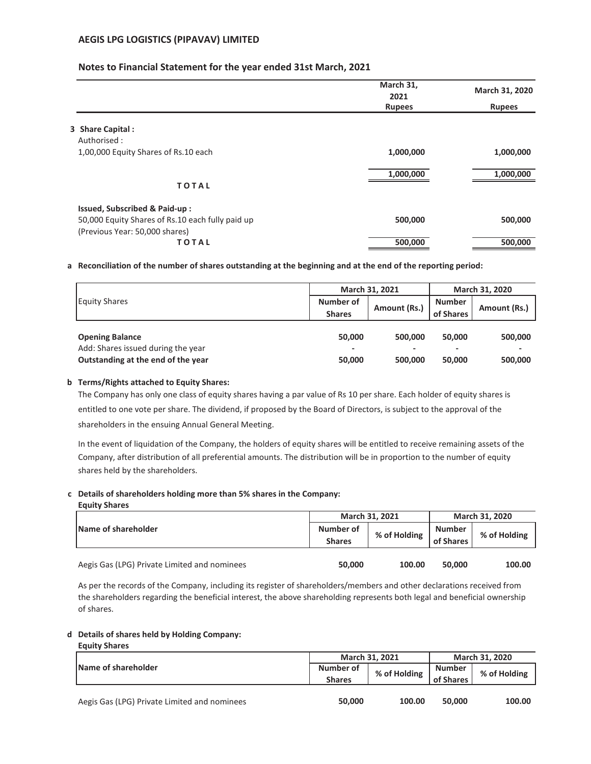#### **Notes to Financial Statement for the year ended 31st March, 2021**

| 2021          | March 31, 2020 |
|---------------|----------------|
| <b>Rupees</b> | <b>Rupees</b>  |
|               |                |
| 1,000,000     | 1,000,000      |
| 1,000,000     | 1,000,000      |
|               |                |
| 500,000       | 500,000        |
|               | 500,000        |
|               | 500,000        |

**a Reconciliation of the number of shares outstanding at the beginning and at the end of the reporting period:**

|                                                              |                            | March 31, 2021 | March 31, 2020             |              |
|--------------------------------------------------------------|----------------------------|----------------|----------------------------|--------------|
| Equity Shares                                                | Number of<br><b>Shares</b> | Amount (Rs.)   | <b>Number</b><br>of Shares | Amount (Rs.) |
| <b>Opening Balance</b><br>Add: Shares issued during the year | 50,000<br>-                | 500,000<br>-   | 50,000                     | 500,000      |
| Outstanding at the end of the year                           | 50,000                     | 500,000        | 50,000                     | 500,000      |

#### **b Terms/Rights attached to Equity Shares:**

The Company has only one class of equity shares having a par value of Rs 10 per share. Each holder of equity shares is entitled to one vote per share. The dividend, if proposed by the Board of Directors, is subject to the approval of the shareholders in the ensuing Annual General Meeting.

In the event of liquidation of the Company, the holders of equity shares will be entitled to receive remaining assets of the Company, after distribution of all preferential amounts. The distribution will be in proportion to the number of equity shares held by the shareholders.

#### **c Details of shareholders holding more than 5% shares in the Company:**

#### **Equity Shares**

|                                              |                            | <b>March 31, 2021</b> |                     | March 31, 2020 |
|----------------------------------------------|----------------------------|-----------------------|---------------------|----------------|
| <b>Name of shareholder</b>                   | Number of<br><b>Shares</b> | % of Holding          | Number<br>of Shares | % of Holding   |
| Aegis Gas (LPG) Private Limited and nominees | 50,000                     | 100.00                | 50,000              | 100.00         |

As per the records of the Company, including its register of shareholders/members and other declarations received from the shareholders regarding the beneficial interest, the above shareholding represents both legal and beneficial ownership of shares.

#### **d Details of shares held by Holding Company:**

**Equity Shares**

| <b>Name of shareholder</b><br>Number of<br>Number<br>% of Holding<br>% of Holding |               | <b>March 31, 2021</b> |           | <b>March 31, 2020</b> |
|-----------------------------------------------------------------------------------|---------------|-----------------------|-----------|-----------------------|
|                                                                                   |               |                       |           |                       |
|                                                                                   | <b>Shares</b> |                       | of Shares |                       |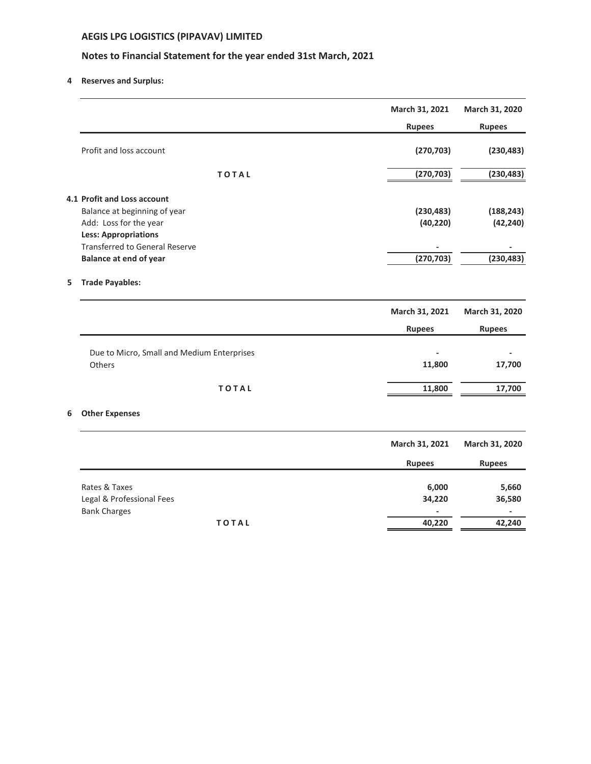## **Notes to Financial Statement for the year ended 31st March, 2021**

## **4 Reserves and Surplus:**

|   |                                                                                                                      | March 31, 2021          | March 31, 2020          |
|---|----------------------------------------------------------------------------------------------------------------------|-------------------------|-------------------------|
|   |                                                                                                                      | <b>Rupees</b>           | <b>Rupees</b>           |
|   | Profit and loss account                                                                                              | (270, 703)              | (230, 483)              |
|   | TOTAL                                                                                                                | (270, 703)              | (230, 483)              |
|   | 4.1 Profit and Loss account<br>Balance at beginning of year<br>Add: Loss for the year<br><b>Less: Appropriations</b> | (230, 483)<br>(40, 220) | (188, 243)<br>(42, 240) |
|   | <b>Transferred to General Reserve</b><br><b>Balance at end of year</b>                                               | (270, 703)              | (230, 483)              |
| 5 | <b>Trade Payables:</b>                                                                                               |                         |                         |
|   |                                                                                                                      | March 31, 2021          | March 31, 2020          |
|   |                                                                                                                      | <b>Rupees</b>           | <b>Rupees</b>           |
|   | Due to Micro, Small and Medium Enterprises<br>Others                                                                 | 11,800                  | 17,700                  |
|   | <b>TOTAL</b>                                                                                                         | 11,800                  | 17,700                  |
| 6 | <b>Other Expenses</b>                                                                                                |                         |                         |
|   |                                                                                                                      | March 31, 2021          | March 31, 2020          |
|   |                                                                                                                      | <b>Rupees</b>           | <b>Rupees</b>           |
|   | Rates & Taxes<br>Legal & Professional Fees<br><b>Bank Charges</b>                                                    | 6,000<br>34,220         | 5,660<br>36,580         |
|   | <b>TOTAL</b>                                                                                                         | 40,220                  | 42,240                  |
|   |                                                                                                                      |                         |                         |